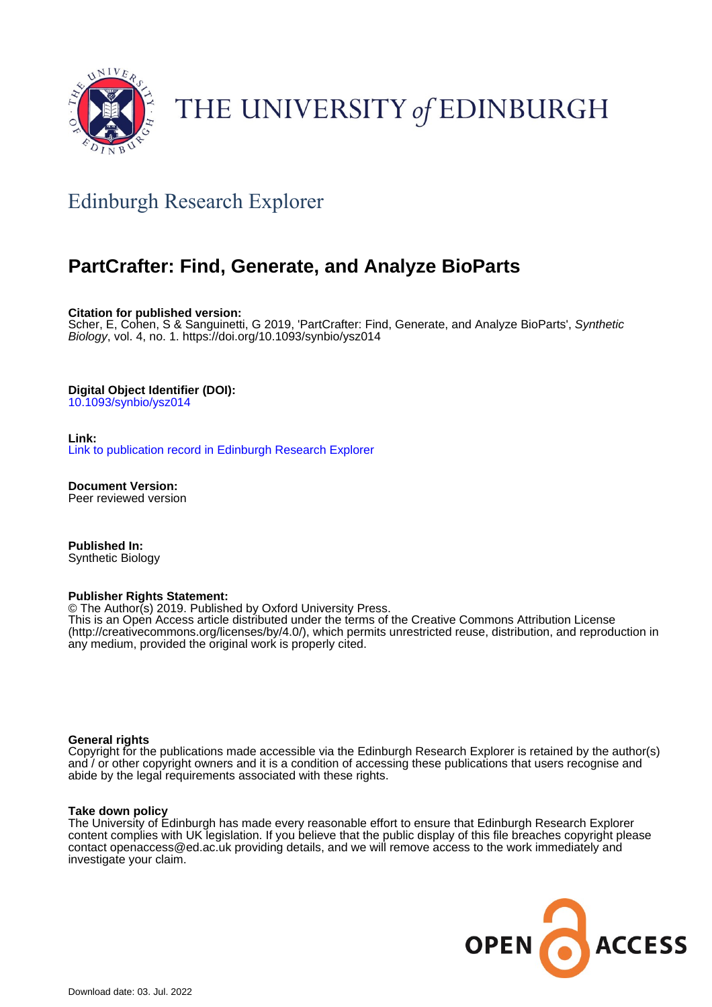

# THE UNIVERSITY of EDINBURGH

# Edinburgh Research Explorer

# **PartCrafter: Find, Generate, and Analyze BioParts**

**Citation for published version:**

Scher, E, Cohen, S & Sanguinetti, G 2019, 'PartCrafter: Find, Generate, and Analyze BioParts', Synthetic Biology, vol. 4, no. 1. <https://doi.org/10.1093/synbio/ysz014>

#### **Digital Object Identifier (DOI):**

[10.1093/synbio/ysz014](https://doi.org/10.1093/synbio/ysz014)

#### **Link:**

[Link to publication record in Edinburgh Research Explorer](https://www.research.ed.ac.uk/en/publications/97b76e2c-c55d-42e0-96da-55d724663a4c)

**Document Version:** Peer reviewed version

**Published In:** Synthetic Biology

#### **Publisher Rights Statement:**

© The Author(s) 2019. Published by Oxford University Press.

This is an Open Access article distributed under the terms of the Creative Commons Attribution License (http://creativecommons.org/licenses/by/4.0/), which permits unrestricted reuse, distribution, and reproduction in any medium, provided the original work is properly cited.

#### **General rights**

Copyright for the publications made accessible via the Edinburgh Research Explorer is retained by the author(s) and / or other copyright owners and it is a condition of accessing these publications that users recognise and abide by the legal requirements associated with these rights.

#### **Take down policy**

The University of Edinburgh has made every reasonable effort to ensure that Edinburgh Research Explorer content complies with UK legislation. If you believe that the public display of this file breaches copyright please contact openaccess@ed.ac.uk providing details, and we will remove access to the work immediately and investigate your claim.

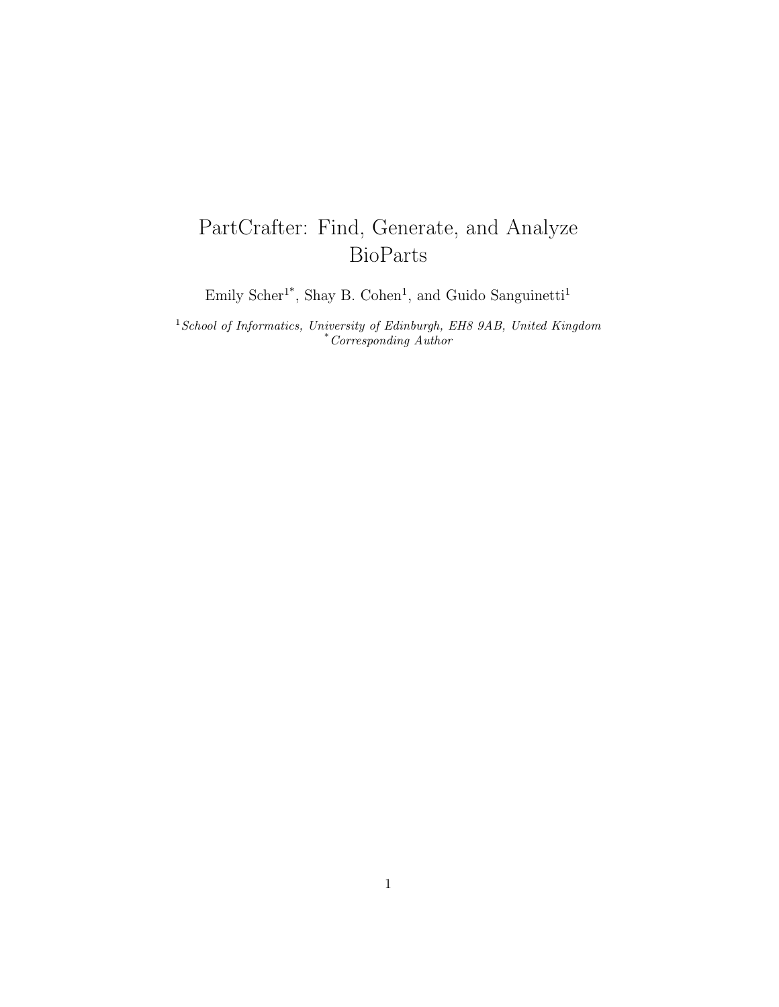# PartCrafter: Find, Generate, and Analyze BioParts

Emily Scher<sup>1\*</sup>, Shay B. Cohen<sup>1</sup>, and Guido Sanguinetti<sup>1</sup>

 $^1School$  of Informatics, University of Edinburgh, EH8 9AB, United Kingdom \*Corresponding Author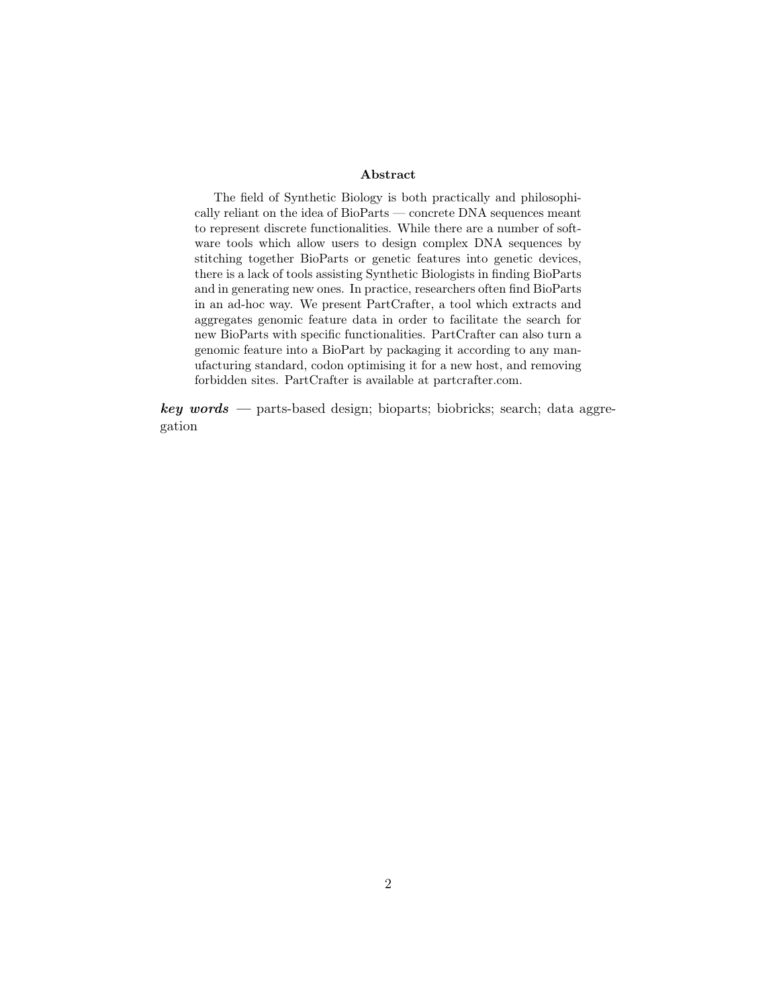#### Abstract

The field of Synthetic Biology is both practically and philosophically reliant on the idea of BioParts — concrete DNA sequences meant to represent discrete functionalities. While there are a number of software tools which allow users to design complex DNA sequences by stitching together BioParts or genetic features into genetic devices, there is a lack of tools assisting Synthetic Biologists in finding BioParts and in generating new ones. In practice, researchers often find BioParts in an ad-hoc way. We present PartCrafter, a tool which extracts and aggregates genomic feature data in order to facilitate the search for new BioParts with specific functionalities. PartCrafter can also turn a genomic feature into a BioPart by packaging it according to any manufacturing standard, codon optimising it for a new host, and removing forbidden sites. PartCrafter is available at partcrafter.com.

 $key words$  — parts-based design; bioparts; biobricks; search; data aggregation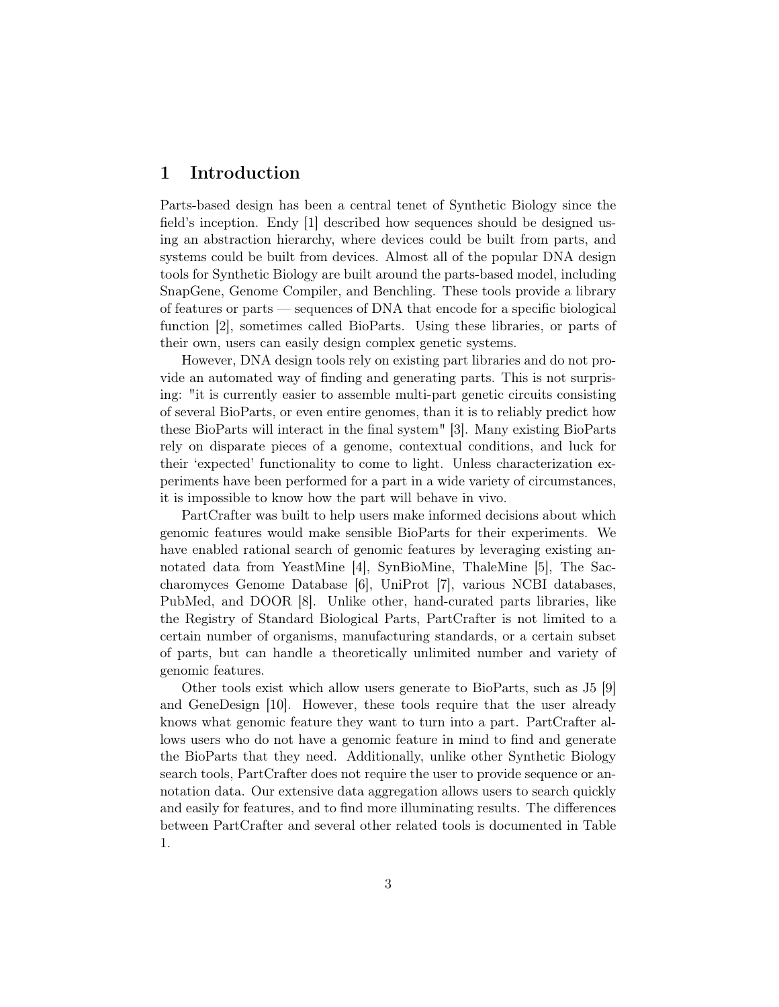# 1 Introduction

Parts-based design has been a central tenet of Synthetic Biology since the field's inception. Endy [1] described how sequences should be designed using an abstraction hierarchy, where devices could be built from parts, and systems could be built from devices. Almost all of the popular DNA design tools for Synthetic Biology are built around the parts-based model, including SnapGene, Genome Compiler, and Benchling. These tools provide a library of features or parts — sequences of DNA that encode for a specific biological function [2], sometimes called BioParts. Using these libraries, or parts of their own, users can easily design complex genetic systems.

However, DNA design tools rely on existing part libraries and do not provide an automated way of finding and generating parts. This is not surprising: "it is currently easier to assemble multi-part genetic circuits consisting of several BioParts, or even entire genomes, than it is to reliably predict how these BioParts will interact in the final system" [3]. Many existing BioParts rely on disparate pieces of a genome, contextual conditions, and luck for their 'expected' functionality to come to light. Unless characterization experiments have been performed for a part in a wide variety of circumstances, it is impossible to know how the part will behave in vivo.

PartCrafter was built to help users make informed decisions about which genomic features would make sensible BioParts for their experiments. We have enabled rational search of genomic features by leveraging existing annotated data from YeastMine [4], SynBioMine, ThaleMine [5], The Saccharomyces Genome Database [6], UniProt [7], various NCBI databases, PubMed, and DOOR [8]. Unlike other, hand-curated parts libraries, like the Registry of Standard Biological Parts, PartCrafter is not limited to a certain number of organisms, manufacturing standards, or a certain subset of parts, but can handle a theoretically unlimited number and variety of genomic features.

Other tools exist which allow users generate to BioParts, such as J5 [9] and GeneDesign [10]. However, these tools require that the user already knows what genomic feature they want to turn into a part. PartCrafter allows users who do not have a genomic feature in mind to find and generate the BioParts that they need. Additionally, unlike other Synthetic Biology search tools, PartCrafter does not require the user to provide sequence or annotation data. Our extensive data aggregation allows users to search quickly and easily for features, and to find more illuminating results. The differences between PartCrafter and several other related tools is documented in Table 1.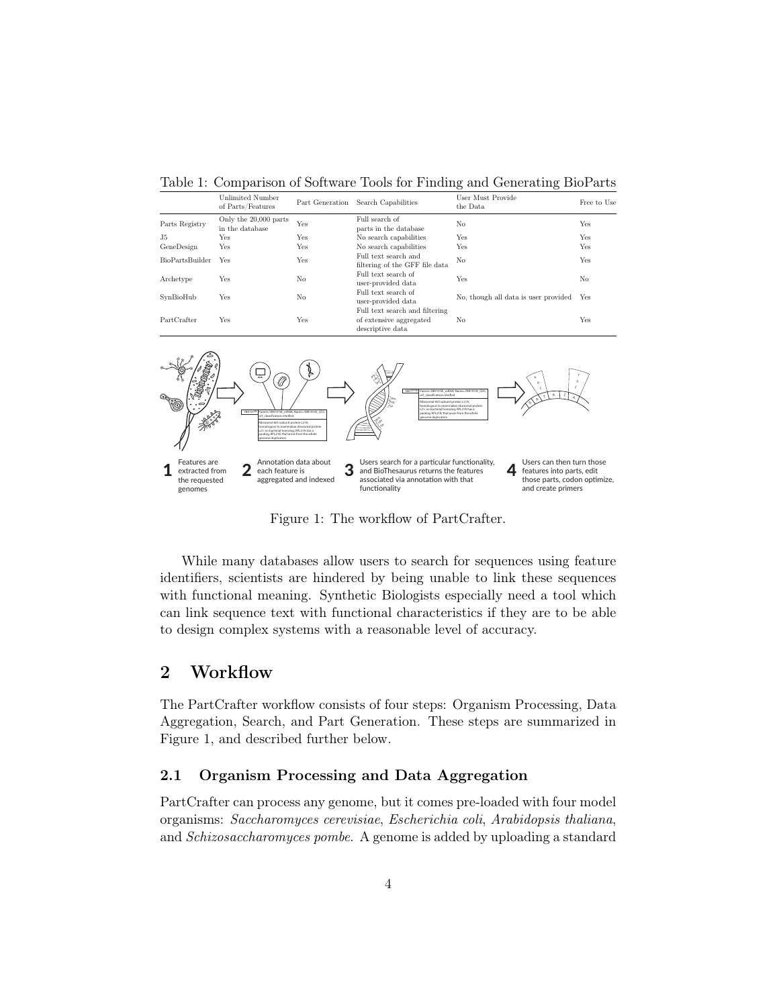Table 1: Comparison of Software Tools for Finding and Generating BioParts

|                        |                                          |                 |                                                                               | -                                    |                |
|------------------------|------------------------------------------|-----------------|-------------------------------------------------------------------------------|--------------------------------------|----------------|
|                        | Unlimited Number<br>of Parts/Features    | Part Generation | Search Capabilities                                                           | User Must Provide<br>the Data        | Free to Use    |
| Parts Registry         | Only the 20,000 parts<br>in the database | Yes             | Full search of<br>parts in the database                                       | No                                   | Yes            |
| J5                     | Yes                                      | Yes             | No search capabilities                                                        | Yes                                  | Yes            |
| GeneDesign             | Yes                                      | Yes             | No search capabilities                                                        | Yes                                  | Yes            |
| <b>BioPartsBuilder</b> | Yes                                      | Yes             | Full text search and<br>filtering of the GFF file data                        | No                                   | Yes            |
| Archetype              | Yes                                      | No              | Full text search of<br>user-provided data                                     | Yes                                  | N <sub>o</sub> |
| SynBioHub              | Yes                                      | No              | Full text search of<br>user-provided data                                     | No, though all data is user provided | Yes            |
| PartCrafter            | Yes                                      | Yes             | Full text search and filtering<br>of extensive aggregated<br>descriptive data | No                                   | Yes            |



Figure 1: The workflow of PartCrafter.

While many databases allow users to search for sequences using feature identifiers, scientists are hindered by being unable to link these sequences with functional meaning. Synthetic Biologists especially need a tool which can link sequence text with functional characteristics if they are to be able to design complex systems with a reasonable level of accuracy.

## 2 Workflow

The PartCrafter workflow consists of four steps: Organism Processing, Data Aggregation, Search, and Part Generation. These steps are summarized in Figure 1, and described further below.

#### 2.1 Organism Processing and Data Aggregation

PartCrafter can process any genome, but it comes pre-loaded with four model organisms: Saccharomyces cerevisiae, Escherichia coli, Arabidopsis thaliana, and Schizosaccharomyces pombe. A genome is added by uploading a standard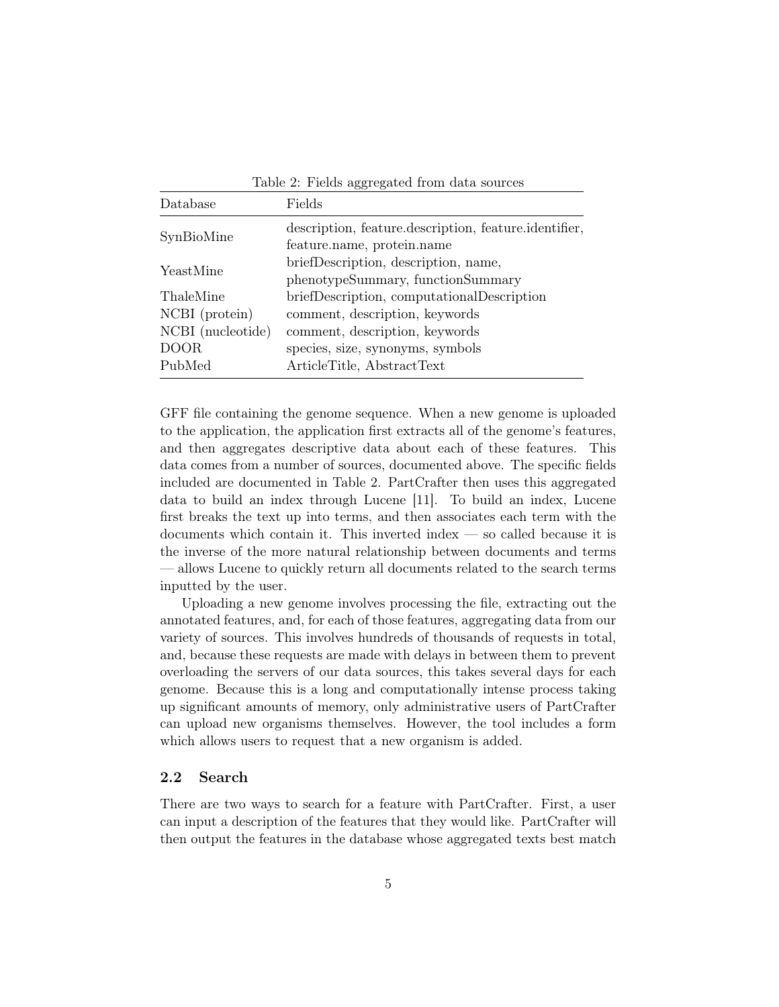| Database          | Fields                                                                              |  |  |
|-------------------|-------------------------------------------------------------------------------------|--|--|
| SynBioMine        | description, feature.description, feature.identifier,<br>feature.name, protein.name |  |  |
| YeastMine         | briefDescription, description, name,<br>phenotypeSummary, functionSummary           |  |  |
| ThaleMine         | briefDescription, computationalDescription                                          |  |  |
| NCBI (protein)    | comment, description, keywords                                                      |  |  |
| NCBI (nucleotide) | comment, description, keywords                                                      |  |  |
| <b>DOOR</b>       | species, size, synonyms, symbols                                                    |  |  |
| PubMed            | ArticleTitle, AbstractText                                                          |  |  |

Table 2: Fields aggregated from data sources

GFF file containing the genome sequence. When a new genome is uploaded to the application, the application first extracts all of the genome's features, and then aggregates descriptive data about each of these features. This data comes from a number of sources, documented above. The specific fields included are documented in Table 2. PartCrafter then uses this aggregated data to build an index through Lucene [11]. To build an index, Lucene first breaks the text up into terms, and then associates each term with the documents which contain it. This inverted index — so called because it is the inverse of the more natural relationship between documents and terms — allows Lucene to quickly return all documents related to the search terms inputted by the user.

Uploading a new genome involves processing the file, extracting out the annotated features, and, for each of those features, aggregating data from our variety of sources. This involves hundreds of thousands of requests in total, and, because these requests are made with delays in between them to prevent overloading the servers of our data sources, this takes several days for each genome. Because this is a long and computationally intense process taking up significant amounts of memory, only administrative users of PartCrafter can upload new organisms themselves. However, the tool includes a form which allows users to request that a new organism is added.

#### 2.2 Search

There are two ways to search for a feature with PartCrafter. First, a user can input a description of the features that they would like. PartCrafter will then output the features in the database whose aggregated texts best match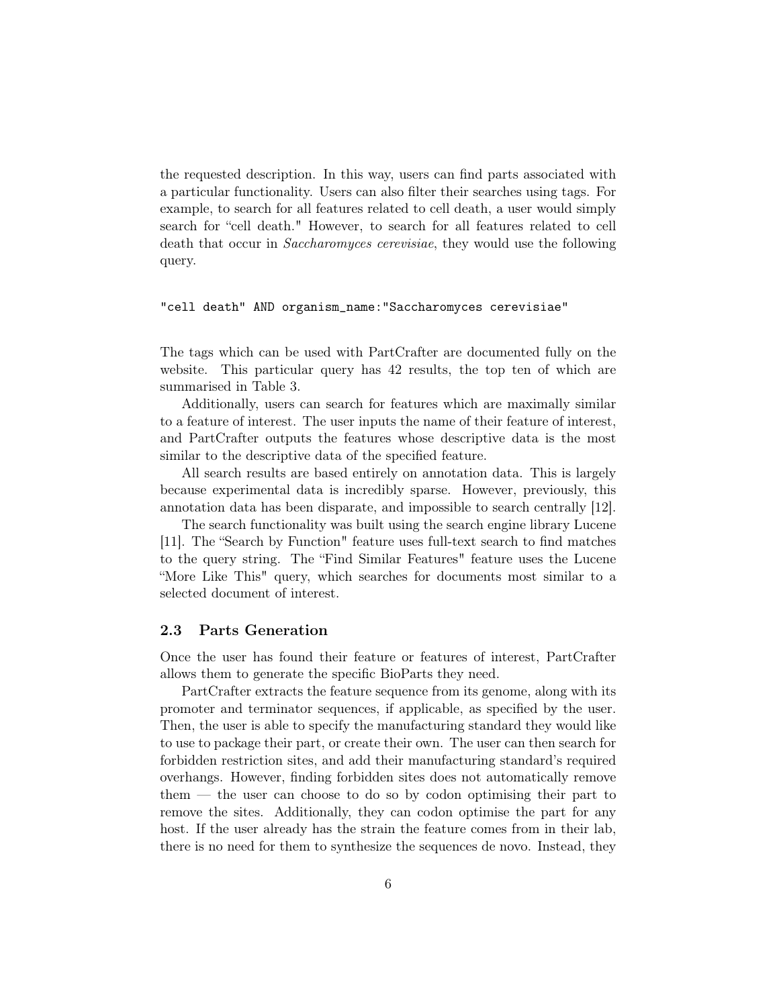the requested description. In this way, users can find parts associated with a particular functionality. Users can also filter their searches using tags. For example, to search for all features related to cell death, a user would simply search for "cell death." However, to search for all features related to cell death that occur in *Saccharomyces cerevisiae*, they would use the following query.

#### "cell death" AND organism\_name:"Saccharomyces cerevisiae"

The tags which can be used with PartCrafter are documented fully on the website. This particular query has 42 results, the top ten of which are summarised in Table 3.

Additionally, users can search for features which are maximally similar to a feature of interest. The user inputs the name of their feature of interest, and PartCrafter outputs the features whose descriptive data is the most similar to the descriptive data of the specified feature.

All search results are based entirely on annotation data. This is largely because experimental data is incredibly sparse. However, previously, this annotation data has been disparate, and impossible to search centrally [12].

The search functionality was built using the search engine library Lucene [11]. The "Search by Function" feature uses full-text search to find matches to the query string. The "Find Similar Features" feature uses the Lucene "More Like This" query, which searches for documents most similar to a selected document of interest.

#### 2.3 Parts Generation

Once the user has found their feature or features of interest, PartCrafter allows them to generate the specific BioParts they need.

PartCrafter extracts the feature sequence from its genome, along with its promoter and terminator sequences, if applicable, as specified by the user. Then, the user is able to specify the manufacturing standard they would like to use to package their part, or create their own. The user can then search for forbidden restriction sites, and add their manufacturing standard's required overhangs. However, finding forbidden sites does not automatically remove them — the user can choose to do so by codon optimising their part to remove the sites. Additionally, they can codon optimise the part for any host. If the user already has the strain the feature comes from in their lab, there is no need for them to synthesize the sequences de novo. Instead, they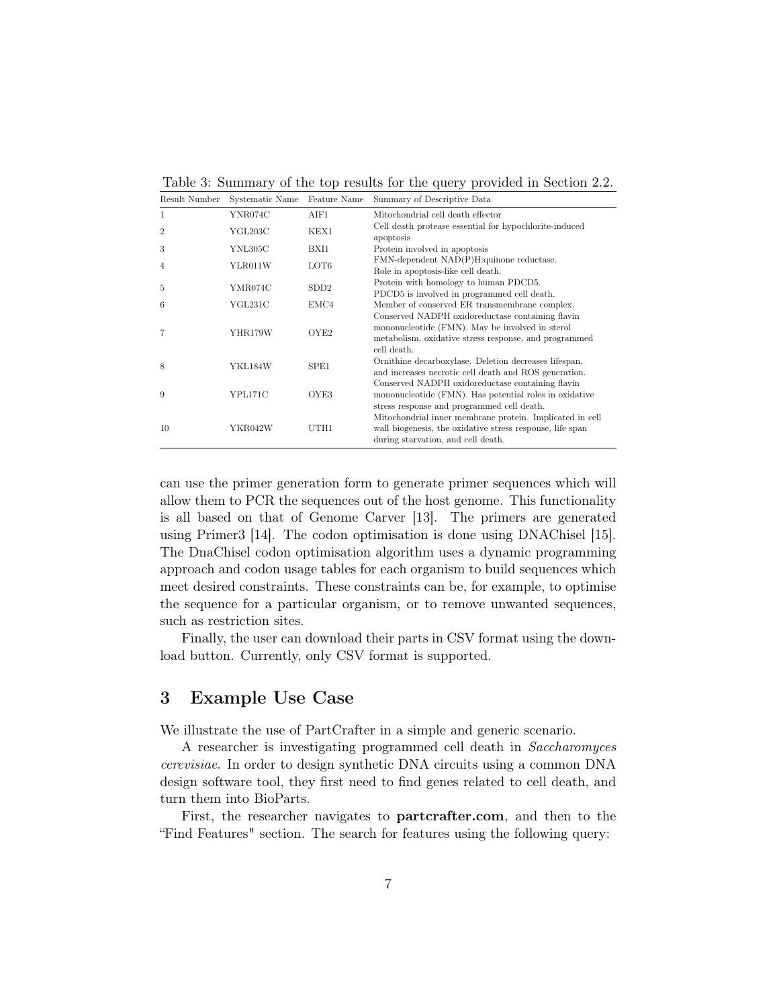Table 3: Summary of the top results for the query provided in Section 2.2.

| Result Number  | Systematic Name | Feature Name | Summary of Descriptive Data                                                                                                                                                 |
|----------------|-----------------|--------------|-----------------------------------------------------------------------------------------------------------------------------------------------------------------------------|
| 1              | YNR074C         | AIF1         | Mitochondrial cell death effector                                                                                                                                           |
| $\overline{2}$ | YGL203C         | KEX1         | Cell death protease essential for hypochlorite-induced<br>apoptosis                                                                                                         |
| 3              | YNL305C         | BXI1         | Protein involved in apoptosis                                                                                                                                               |
| 4              | YLR011W         | LOT6         | FMN-dependent NAD(P)H:quinone reductase.<br>Role in apoptosis-like cell death.                                                                                              |
| 5              | YMR074C         | SDD2         | Protein with homology to human PDCD5.<br>PDCD5 is involved in programmed cell death.                                                                                        |
| 6              | YGL231C         | EMC4         | Member of conserved ER transmembrane complex.                                                                                                                               |
| $\overline{7}$ | YHR179W         | OYE2         | Conserved NADPH oxidoreductase containing flavin<br>mononucleotide (FMN). May be involved in sterol<br>metabolism, oxidative stress response, and programmed<br>cell death. |
| 8              | YKL184W         | SPE1         | Ornithine decarboxylase. Deletion decreases lifespan,<br>and increases necrotic cell death and ROS generation.                                                              |
| 9              | YPL171C         | OYE3         | Conserved NADPH oxidoreductase containing flavin<br>mononucleotide (FMN). Has potential roles in oxidative<br>stress response and programmed cell death.                    |
| 10             | YKR042W         | UTH1         | Mitochondrial inner membrane protein. Implicated in cell<br>wall biogenesis, the oxidative stress response, life span<br>during starvation, and cell death.                 |

can use the primer generation form to generate primer sequences which will allow them to PCR the sequences out of the host genome. This functionality is all based on that of Genome Carver [13]. The primers are generated using Primer3 [14]. The codon optimisation is done using DNAChisel [15]. The DnaChisel codon optimisation algorithm uses a dynamic programming approach and codon usage tables for each organism to build sequences which meet desired constraints. These constraints can be, for example, to optimise the sequence for a particular organism, or to remove unwanted sequences, such as restriction sites.

Finally, the user can download their parts in CSV format using the download button. Currently, only CSV format is supported.

# 3 Example Use Case

We illustrate the use of PartCrafter in a simple and generic scenario.

A researcher is investigating programmed cell death in Saccharomyces cerevisiae. In order to design synthetic DNA circuits using a common DNA design software tool, they first need to find genes related to cell death, and turn them into BioParts.

First, the researcher navigates to partcrafter.com, and then to the "Find Features" section. The search for features using the following query: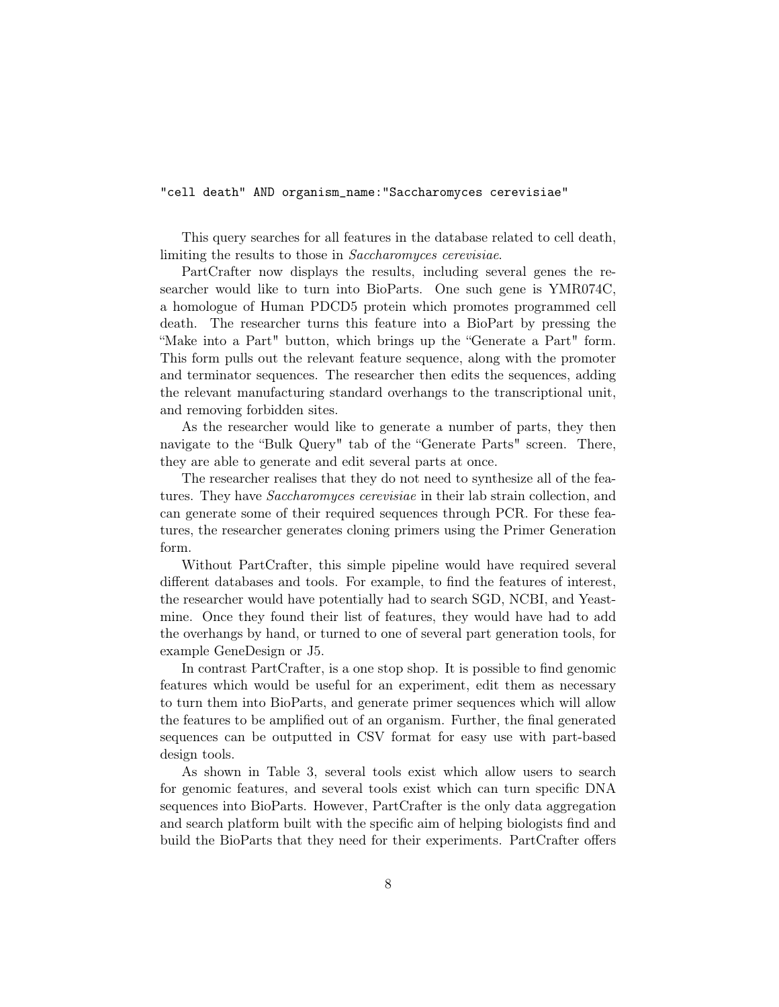"cell death" AND organism\_name:"Saccharomyces cerevisiae"

This query searches for all features in the database related to cell death, limiting the results to those in *Saccharomyces cerevisiae*.

PartCrafter now displays the results, including several genes the researcher would like to turn into BioParts. One such gene is YMR074C, a homologue of Human PDCD5 protein which promotes programmed cell death. The researcher turns this feature into a BioPart by pressing the "Make into a Part" button, which brings up the "Generate a Part" form. This form pulls out the relevant feature sequence, along with the promoter and terminator sequences. The researcher then edits the sequences, adding the relevant manufacturing standard overhangs to the transcriptional unit, and removing forbidden sites.

As the researcher would like to generate a number of parts, they then navigate to the "Bulk Query" tab of the "Generate Parts" screen. There, they are able to generate and edit several parts at once.

The researcher realises that they do not need to synthesize all of the features. They have *Saccharomyces cerevisiae* in their lab strain collection, and can generate some of their required sequences through PCR. For these features, the researcher generates cloning primers using the Primer Generation form.

Without PartCrafter, this simple pipeline would have required several different databases and tools. For example, to find the features of interest, the researcher would have potentially had to search SGD, NCBI, and Yeastmine. Once they found their list of features, they would have had to add the overhangs by hand, or turned to one of several part generation tools, for example GeneDesign or J5.

In contrast PartCrafter, is a one stop shop. It is possible to find genomic features which would be useful for an experiment, edit them as necessary to turn them into BioParts, and generate primer sequences which will allow the features to be amplified out of an organism. Further, the final generated sequences can be outputted in CSV format for easy use with part-based design tools.

As shown in Table 3, several tools exist which allow users to search for genomic features, and several tools exist which can turn specific DNA sequences into BioParts. However, PartCrafter is the only data aggregation and search platform built with the specific aim of helping biologists find and build the BioParts that they need for their experiments. PartCrafter offers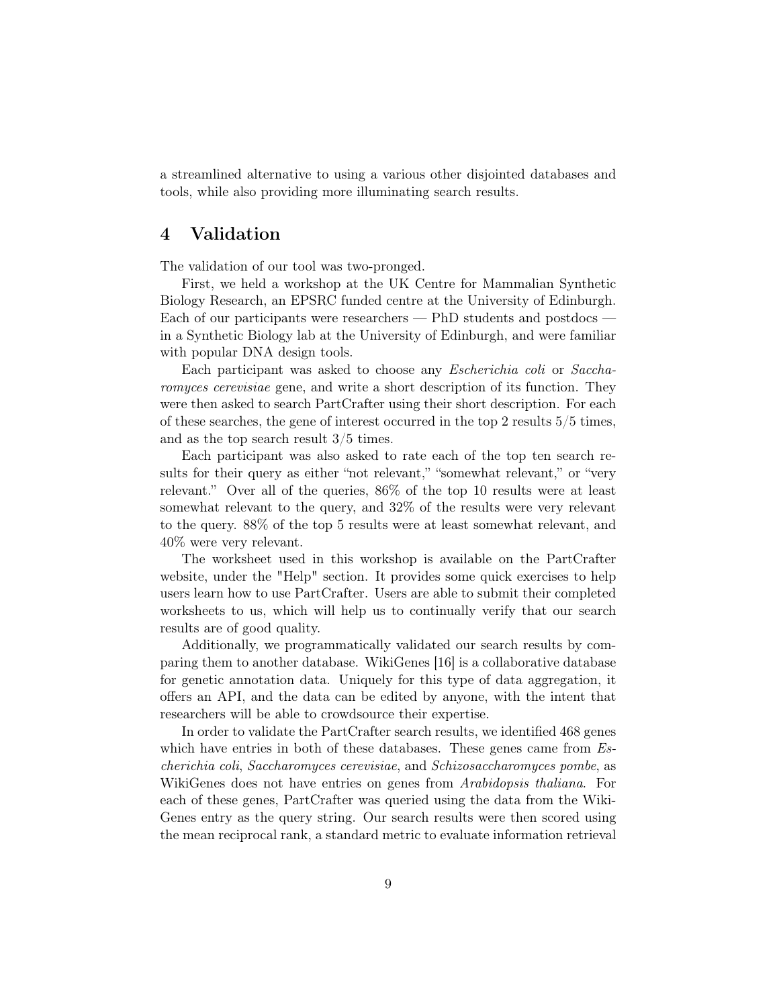a streamlined alternative to using a various other disjointed databases and tools, while also providing more illuminating search results.

### 4 Validation

The validation of our tool was two-pronged.

First, we held a workshop at the UK Centre for Mammalian Synthetic Biology Research, an EPSRC funded centre at the University of Edinburgh. Each of our participants were researchers — PhD students and postdocs in a Synthetic Biology lab at the University of Edinburgh, and were familiar with popular DNA design tools.

Each participant was asked to choose any Escherichia coli or Saccharomyces cerevisiae gene, and write a short description of its function. They were then asked to search PartCrafter using their short description. For each of these searches, the gene of interest occurred in the top 2 results 5/5 times, and as the top search result 3/5 times.

Each participant was also asked to rate each of the top ten search results for their query as either "not relevant," "somewhat relevant," or "very relevant." Over all of the queries, 86% of the top 10 results were at least somewhat relevant to the query, and 32% of the results were very relevant to the query. 88% of the top 5 results were at least somewhat relevant, and 40% were very relevant.

The worksheet used in this workshop is available on the PartCrafter website, under the "Help" section. It provides some quick exercises to help users learn how to use PartCrafter. Users are able to submit their completed worksheets to us, which will help us to continually verify that our search results are of good quality.

Additionally, we programmatically validated our search results by comparing them to another database. WikiGenes [16] is a collaborative database for genetic annotation data. Uniquely for this type of data aggregation, it offers an API, and the data can be edited by anyone, with the intent that researchers will be able to crowdsource their expertise.

In order to validate the PartCrafter search results, we identified 468 genes which have entries in both of these databases. These genes came from  $Es$ cherichia coli, Saccharomyces cerevisiae, and Schizosaccharomyces pombe, as WikiGenes does not have entries on genes from Arabidopsis thaliana. For each of these genes, PartCrafter was queried using the data from the Wiki-Genes entry as the query string. Our search results were then scored using the mean reciprocal rank, a standard metric to evaluate information retrieval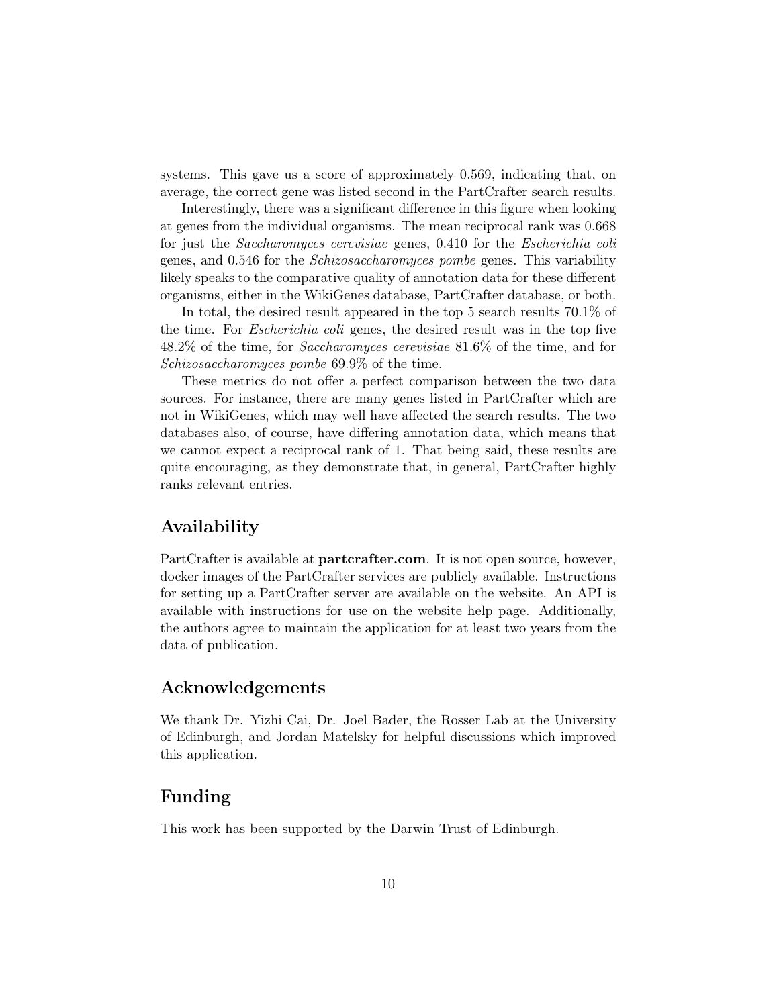systems. This gave us a score of approximately 0.569, indicating that, on average, the correct gene was listed second in the PartCrafter search results.

Interestingly, there was a significant difference in this figure when looking at genes from the individual organisms. The mean reciprocal rank was 0.668 for just the Saccharomyces cerevisiae genes, 0.410 for the Escherichia coli genes, and 0.546 for the Schizosaccharomyces pombe genes. This variability likely speaks to the comparative quality of annotation data for these different organisms, either in the WikiGenes database, PartCrafter database, or both.

In total, the desired result appeared in the top 5 search results 70.1% of the time. For Escherichia coli genes, the desired result was in the top five 48.2% of the time, for Saccharomyces cerevisiae 81.6% of the time, and for Schizosaccharomyces pombe 69.9% of the time.

These metrics do not offer a perfect comparison between the two data sources. For instance, there are many genes listed in PartCrafter which are not in WikiGenes, which may well have affected the search results. The two databases also, of course, have differing annotation data, which means that we cannot expect a reciprocal rank of 1. That being said, these results are quite encouraging, as they demonstrate that, in general, PartCrafter highly ranks relevant entries.

## Availability

PartCrafter is available at **partcrafter.com**. It is not open source, however, docker images of the PartCrafter services are publicly available. Instructions for setting up a PartCrafter server are available on the website. An API is available with instructions for use on the website help page. Additionally, the authors agree to maintain the application for at least two years from the data of publication.

## Acknowledgements

We thank Dr. Yizhi Cai, Dr. Joel Bader, the Rosser Lab at the University of Edinburgh, and Jordan Matelsky for helpful discussions which improved this application.

# Funding

This work has been supported by the Darwin Trust of Edinburgh.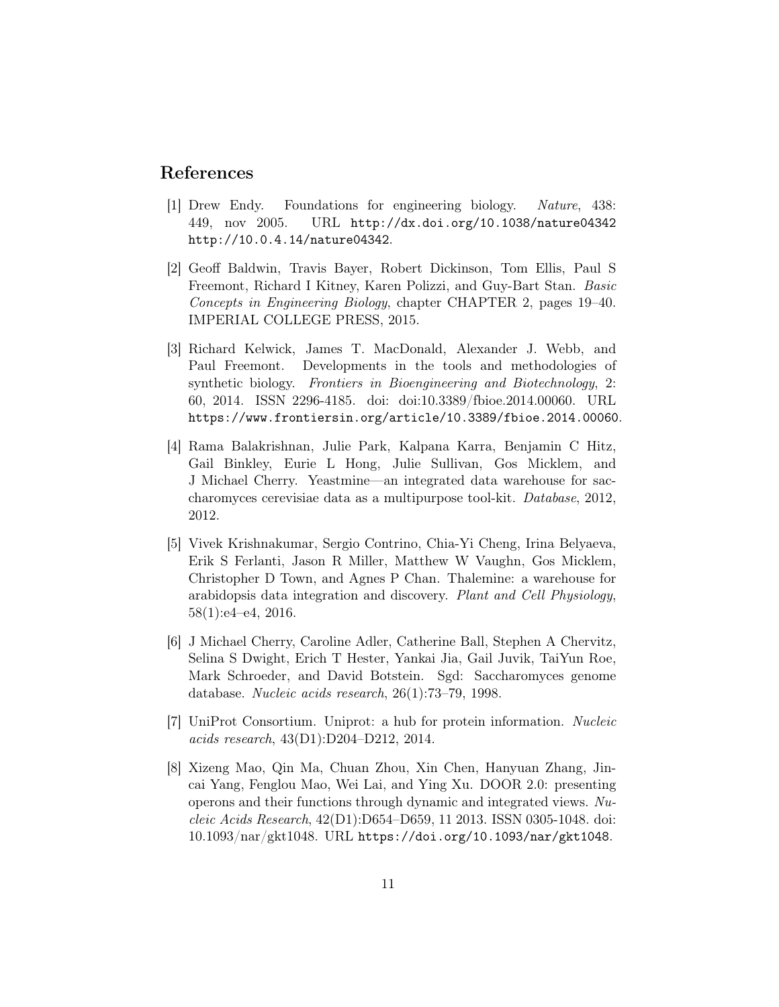### References

- [1] Drew Endy. Foundations for engineering biology. Nature, 438: 449, nov 2005. URL http://dx.doi.org/10.1038/nature04342 http://10.0.4.14/nature04342.
- [2] Geoff Baldwin, Travis Bayer, Robert Dickinson, Tom Ellis, Paul S Freemont, Richard I Kitney, Karen Polizzi, and Guy-Bart Stan. Basic Concepts in Engineering Biology, chapter CHAPTER 2, pages 19–40. IMPERIAL COLLEGE PRESS, 2015.
- [3] Richard Kelwick, James T. MacDonald, Alexander J. Webb, and Paul Freemont. Developments in the tools and methodologies of synthetic biology. Frontiers in Bioengineering and Biotechnology, 2: 60, 2014. ISSN 2296-4185. doi: doi:10.3389/fbioe.2014.00060. URL https://www.frontiersin.org/article/10.3389/fbioe.2014.00060.
- [4] Rama Balakrishnan, Julie Park, Kalpana Karra, Benjamin C Hitz, Gail Binkley, Eurie L Hong, Julie Sullivan, Gos Micklem, and J Michael Cherry. Yeastmine—an integrated data warehouse for saccharomyces cerevisiae data as a multipurpose tool-kit. Database, 2012, 2012.
- [5] Vivek Krishnakumar, Sergio Contrino, Chia-Yi Cheng, Irina Belyaeva, Erik S Ferlanti, Jason R Miller, Matthew W Vaughn, Gos Micklem, Christopher D Town, and Agnes P Chan. Thalemine: a warehouse for arabidopsis data integration and discovery. Plant and Cell Physiology, 58(1):e4–e4, 2016.
- [6] J Michael Cherry, Caroline Adler, Catherine Ball, Stephen A Chervitz, Selina S Dwight, Erich T Hester, Yankai Jia, Gail Juvik, TaiYun Roe, Mark Schroeder, and David Botstein. Sgd: Saccharomyces genome database. Nucleic acids research, 26(1):73–79, 1998.
- [7] UniProt Consortium. Uniprot: a hub for protein information. Nucleic acids research, 43(D1):D204–D212, 2014.
- [8] Xizeng Mao, Qin Ma, Chuan Zhou, Xin Chen, Hanyuan Zhang, Jincai Yang, Fenglou Mao, Wei Lai, and Ying Xu. DOOR 2.0: presenting operons and their functions through dynamic and integrated views. Nucleic Acids Research, 42(D1):D654–D659, 11 2013. ISSN 0305-1048. doi: 10.1093/nar/gkt1048. URL https://doi.org/10.1093/nar/gkt1048.